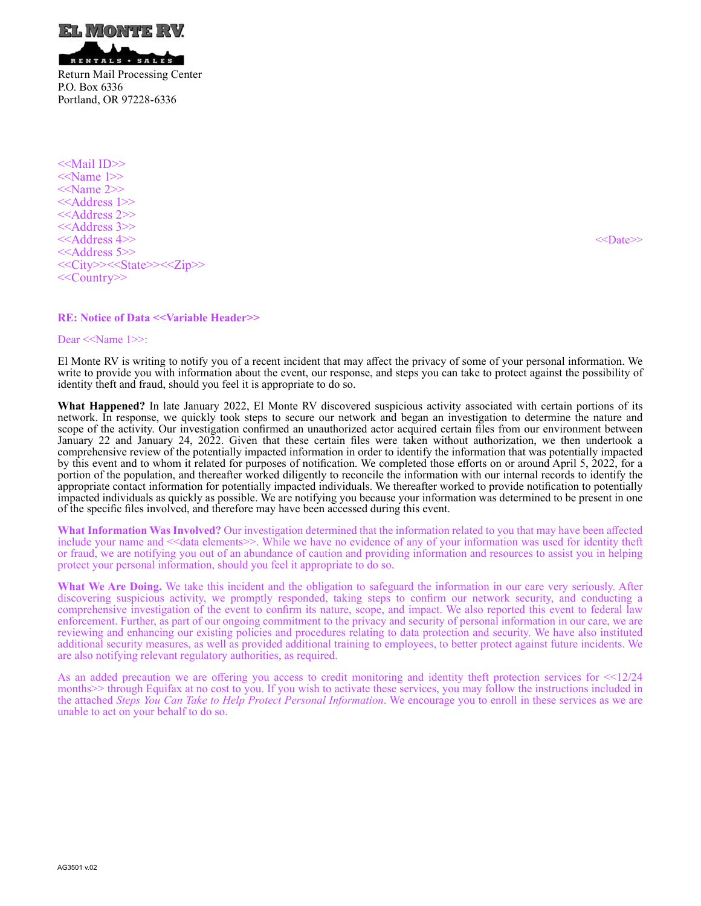

RENTALS . SAL Return Mail Processing Center P.O. Box 6336 Portland, OR 97228-6336

<<Mail ID>> <<Name 1>> <<Name 2>> <<Address 1>> <<Address 2>> <<Address 3>> <<Address 4>> <<Date>> <<Address 5>> <<City>><<State>><<Zip>> <<Country>>

### **RE: Notice of Data <<Variable Header>>**

#### Dear <<Name 1>>:

El Monte RV is writing to notify you of a recent incident that may affect the privacy of some of your personal information. We write to provide you with information about the event, our response, and steps you can take to protect against the possibility of identity theft and fraud, should you feel it is appropriate to do so.

**What Happened?** In late January 2022, El Monte RV discovered suspicious activity associated with certain portions of its network. In response, we quickly took steps to secure our network and began an investigation to determine the nature and scope of the activity. Our investigation confirmed an unauthorized actor acquired certain files from our environment between January 22 and January 24, 2022. Given that these certain files were taken without authorization, we then undertook a comprehensive review of the potentially impacted information in order to identify the information that was potentially impacted by this event and to whom it related for purposes of notification. We completed those efforts on or around April 5, 2022, for a portion of the population, and thereafter worked diligently to reconcile the information with our internal records to identify the appropriate contact information for potentially impacted individuals. We thereafter worked to provide notification to potentially impacted individuals as quickly as possible. We are notifying you because your information was determined to be present in one of the specific files involved, and therefore may have been accessed during this event.

**What Information Was Involved?** Our investigation determined that the information related to you that may have been affected include your name and << data elements>>. While we have no evidence of any of your information was used for identity theft or fraud, we are notifying you out of an abundance of caution and providing information and resources to assist you in helping protect your personal information, should you feel it appropriate to do so.

**What We Are Doing.** We take this incident and the obligation to safeguard the information in our care very seriously. After discovering suspicious activity, we promptly responded, taking steps to confirm our network security, and conducting a comprehensive investigation of the event to confirm its nature, scope, and impact. We also reported this event to federal law enforcement. Further, as part of our ongoing commitment to the privacy and security of personal information in our care, we are reviewing and enhancing our existing policies and procedures relating to data protection and security. We have also instituted additional security measures, as well as provided additional training to employees, to better protect against future incidents. We are also notifying relevant regulatory authorities, as required.

As an added precaution we are offering you access to credit monitoring and identity theft protection services for <<12/24 months>> through Equifax at no cost to you. If you wish to activate these services, you may follow the instructions included in the attached *Steps You Can Take to Help Protect Personal Information*. We encourage you to enroll in these services as we are unable to act on your behalf to do so.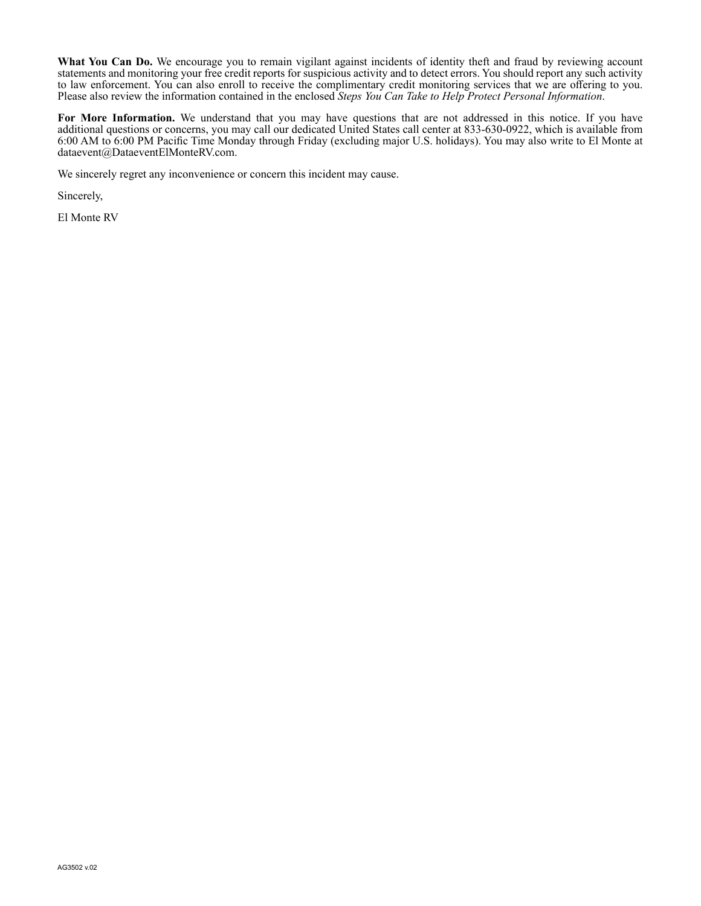What You Can Do. We encourage you to remain vigilant against incidents of identity theft and fraud by reviewing account statements and monitoring your free credit reports for suspicious activity and to detect errors. You should report any such activity to law enforcement. You can also enroll to receive the complimentary credit monitoring services that we are offering to you. Please also review the information contained in the enclosed *Steps You Can Take to Help Protect Personal Information*.

**For More Information.** We understand that you may have questions that are not addressed in this notice. If you have additional questions or concerns, you may call our dedicated United States call center at 833-630-0922, which is available from 6:00 AM to 6:00 PM Pacific Time Monday through Friday (excluding major U.S. holidays). You may also write to El Monte at dataevent@DataeventElMonteRV.com.

We sincerely regret any inconvenience or concern this incident may cause.

Sincerely,

El Monte RV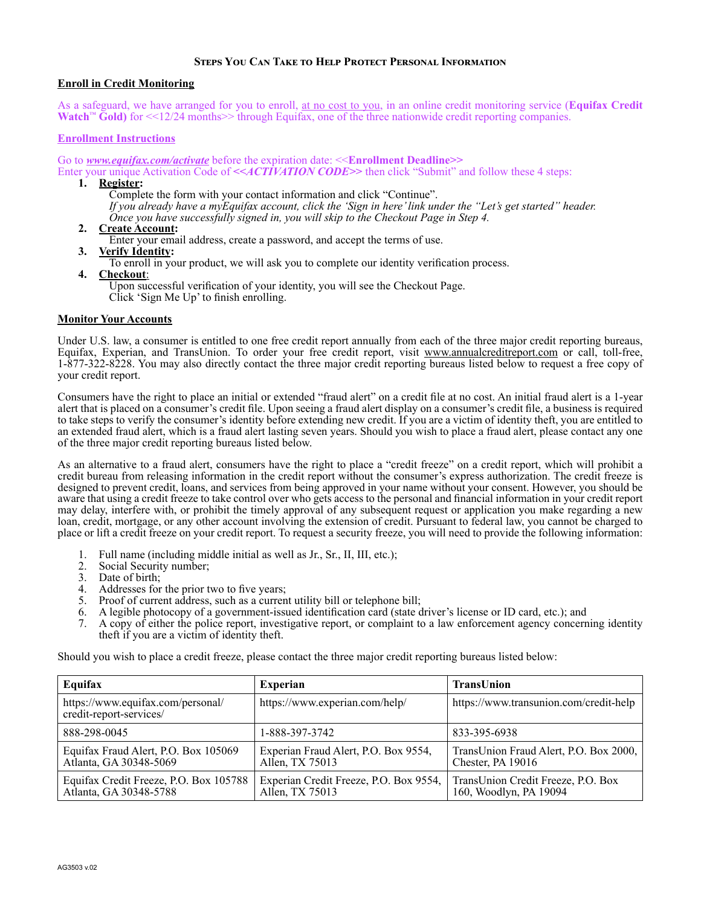### **Steps You Can Take to Help Protect Personal Information**

## **Enroll in Credit Monitoring**

As a safeguard, we have arranged for you to enroll, at no cost to you, in an online credit monitoring service (**Equifax Credit Watch**™ **Gold)** for <<12/24 months>> through Equifax, one of the three nationwide credit reporting companies.

### **Enrollment Instructions**

Go to *www.equifax.com/activate* before the expiration date: <<**Enrollment Deadline>>**

# Enter your unique Activation Code of  $\leq$  *ACTIVATION CODE*>> then click "Submit" and follow these 4 steps:

**1. Register:**

Complete the form with your contact information and click "Continue".

*If you already have a myEquifax account, click the 'Sign in here' link under the "Let's get started" header. Once you have successfully signed in, you will skip to the Checkout Page in Step 4.*

- **2. Create Account:**
- Enter your email address, create a password, and accept the terms of use.
- **3. Verify Identity:**
	- To enroll in your product, we will ask you to complete our identity verification process.
- **4. Checkout**:

Upon successful verification of your identity, you will see the Checkout Page. Click 'Sign Me Up' to finish enrolling.

### **Monitor Your Accounts**

Under U.S. law, a consumer is entitled to one free credit report annually from each of the three major credit reporting bureaus, Equifax, Experian, and TransUnion. To order your free credit report, visit www.annualcreditreport.com or call, toll-free, 1-877-322-8228. You may also directly contact the three major credit reporting bureaus listed below to request a free copy of your credit report.

Consumers have the right to place an initial or extended "fraud alert" on a credit file at no cost. An initial fraud alert is a 1-year alert that is placed on a consumer's credit file. Upon seeing a fraud alert display on a consumer's credit file, a business is required to take steps to verify the consumer's identity before extending new credit. If you are a victim of identity theft, you are entitled to an extended fraud alert, which is a fraud alert lasting seven years. Should you wish to place a fraud alert, please contact any one of the three major credit reporting bureaus listed below.

As an alternative to a fraud alert, consumers have the right to place a "credit freeze" on a credit report, which will prohibit a credit bureau from releasing information in the credit report without the consumer's express authorization. The credit freeze is designed to prevent credit, loans, and services from being approved in your name without your consent. However, you should be aware that using a credit freeze to take control over who gets access to the personal and financial information in your credit report may delay, interfere with, or prohibit the timely approval of any subsequent request or application you make regarding a new loan, credit, mortgage, or any other account involving the extension of credit. Pursuant to federal law, you cannot be charged to place or lift a credit freeze on your credit report. To request a security freeze, you will need to provide the following information:

- 1. Full name (including middle initial as well as Jr., Sr., II, III, etc.);<br>2. Social Security number;
- Social Security number;
- 3. Date of birth;
- 4. Addresses for the prior two to five years;
- 5. Proof of current address, such as a current utility bill or telephone bill;
- 6. A legible photocopy of a government-issued identification card (state driver's license or ID card, etc.); and
- 7. A copy of either the police report, investigative report, or complaint to a law enforcement agency concerning identity theft if you are a victim of identity theft.

Should you wish to place a credit freeze, please contact the three major credit reporting bureaus listed below:

| Equifax                                                          | <b>Experian</b>                                           | <b>TransUnion</b>                                            |
|------------------------------------------------------------------|-----------------------------------------------------------|--------------------------------------------------------------|
| https://www.equifax.com/personal/<br>credit-report-services/     | https://www.experian.com/help/                            | https://www.transunion.com/credit-help                       |
| 888-298-0045                                                     | 1-888-397-3742                                            | 833-395-6938                                                 |
| Equifax Fraud Alert, P.O. Box 105069<br>Atlanta, GA 30348-5069   | Experian Fraud Alert, P.O. Box 9554,<br>Allen, TX 75013   | TransUnion Fraud Alert, P.O. Box 2000,<br>Chester, PA 19016  |
| Equifax Credit Freeze, P.O. Box 105788<br>Atlanta, GA 30348-5788 | Experian Credit Freeze, P.O. Box 9554,<br>Allen, TX 75013 | TransUnion Credit Freeze, P.O. Box<br>160, Woodlyn, PA 19094 |